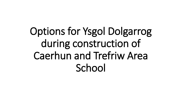# Options for Ysgol Dolgarrog during construction of Caerhun and Trefriw Area **School**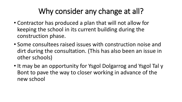### Why consider any change at all?

- Contractor has produced a plan that will not allow for keeping the school in its current building during the construction phase.
- Some consultees raised issues with construction noise and dirt during the consultation. (This has also been an issue in other schools)
- It may be an opportunity for Ysgol Dolgarrog and Ysgol Tal y Bont to pave the way to closer working in advance of the new school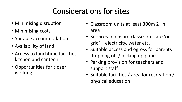# Considerations for sites

- Minimising disruption
- Minimising costs
- Suitable accommodation
- Availability of land
- Access to lunchtime facilities kitchen and canteen
- Opportunities for closer working
- Classroom units at least 300m 2 in area
- Services to ensure classrooms are 'on grid' – electricity, water etc.
- Suitable access and egress for parents dropping off / picking up pupils
- Parking provision for teachers and support staff
- Suitable facilities / area for recreation / physical education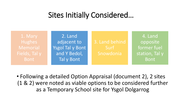### Sites Initially Considered…

1. Mary **Hughes** Memorial Fields, Tal y Bont

2. Land adjacent to Ysgol Tal y Bont and Y Bedol, Tal y Bont

3. Land behind Surf Snowdonia

4. Land opposite former fuel station, Tal y Bont

• Following a detailed Option Appraisal (document 2), 2 sites (1 & 2) were noted as viable options to be considered further as a Temporary School site for Ysgol Dolgarrog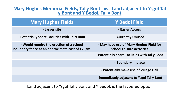#### **Mary Hughes Memorial Fields, Tal y Bont vs Land adjacent to Ysgol Tal y Bont and Y Bedol, Tal y Bont**

| <b>Mary Hughes Fields</b>                                                                  | <b>Y Bedol Field</b>                                                        |
|--------------------------------------------------------------------------------------------|-----------------------------------------------------------------------------|
| - Larger site                                                                              | - Easier Access                                                             |
| - Potentially share Facilities with Tal y Bont                                             | - Currently Unused                                                          |
| - Would require the erection of a school<br>boundary fence at an approximate cost of £70/m | - May have use of Mary Hughes Field for<br><b>School Leisure activities</b> |
|                                                                                            | - Potentially share Facilities with Tal y Bont                              |
|                                                                                            | - Boundary in place                                                         |
|                                                                                            | - Potentially make use of Village Hall                                      |
|                                                                                            | - immediately adjacent to Ysgol Tal y Bont                                  |

Land adjacent to Ysgol Tal y Bont and Y Bedol, is the favoured option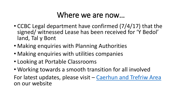### Where we are now…

- CCBC Legal department have confirmed (7/4/17) that the signed/ witnessed Lease has been received for 'Y Bedol' land, Tal y Bont
- Making enquiries with Planning Authorities
- Making enquiries with utilities companies
- Looking at Portable Classrooms
- Working towards a smooth transition for all involved For latest updates, please visit – Caerhun [and Trefriw](http://www.conwy.gov.uk/en/Resident/Education-and-Families/Schools/21st-Century-Schools/Band-A-Current-Projects/Caerhun-Area.aspx) Area on our website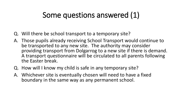### Some questions answered (1)

- Q. Will there be school transport to a temporary site?
- A. Those pupils already receiving School Transport would continue to be transported to any new site. The authority may consider providing transport from Dolgarrog to a new site if there is demand. A transport questionnaire will be circulated to all parents following the Easter break.
- Q. How will I know my child is safe in any temporary site?
- A. Whichever site is eventually chosen will need to have a fixed boundary in the same way as any permanent school.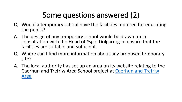# Some questions answered (2)

- Q. Would a temporary school have the facilities required for educating the pupils?
- A. The design of any temporary school would be drawn up in consultation with the Head of Ysgol Dolgarrog to ensure that the facilities are suitable and sufficient.
- Q. Where can I find more information about any proposed temporary site?
- A. The local authority has set up an area on its website relating to the Caerhun and Trefriw [Area School project at Caerhun](http://www.conwy.gov.uk/en/Resident/Education-and-Families/Schools/21st-Century-Schools/Band-A-Current-Projects/Caerhun-Area.aspx) and Trefriw Area